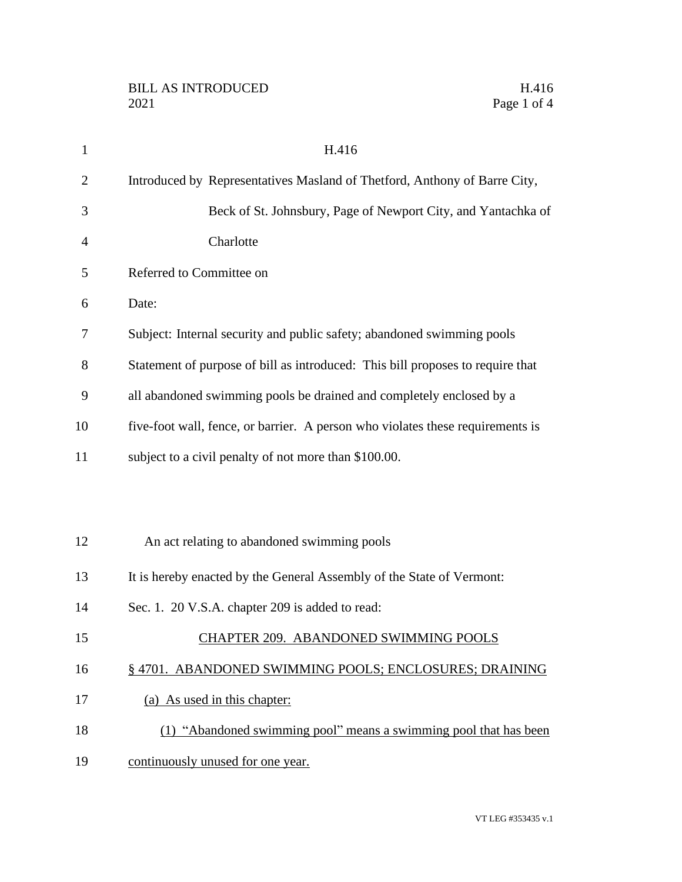| $\mathbf{1}$   | H.416                                                                          |
|----------------|--------------------------------------------------------------------------------|
| $\overline{2}$ | Introduced by Representatives Masland of Thetford, Anthony of Barre City,      |
| 3              | Beck of St. Johnsbury, Page of Newport City, and Yantachka of                  |
| $\overline{4}$ | Charlotte                                                                      |
| 5              | Referred to Committee on                                                       |
| 6              | Date:                                                                          |
| 7              | Subject: Internal security and public safety; abandoned swimming pools         |
| 8              | Statement of purpose of bill as introduced: This bill proposes to require that |
| 9              | all abandoned swimming pools be drained and completely enclosed by a           |
| 10             | five-foot wall, fence, or barrier. A person who violates these requirements is |
| 11             | subject to a civil penalty of not more than \$100.00.                          |
|                |                                                                                |
|                |                                                                                |
| 12             | An act relating to abandoned swimming pools                                    |
| 13             | It is hereby enacted by the General Assembly of the State of Vermont:          |
| 14             | Sec. 1. 20 V.S.A. chapter 209 is added to read:                                |
| 15             | CHAPTER 209. ABANDONED SWIMMING POOLS                                          |
| 16             | §4701. ABANDONED SWIMMING POOLS; ENCLOSURES; DRAINING                          |
| 17             | (a) As used in this chapter:                                                   |
| 18             | (1) "Abandoned swimming pool" means a swimming pool that has been              |
| 19             | continuously unused for one year.                                              |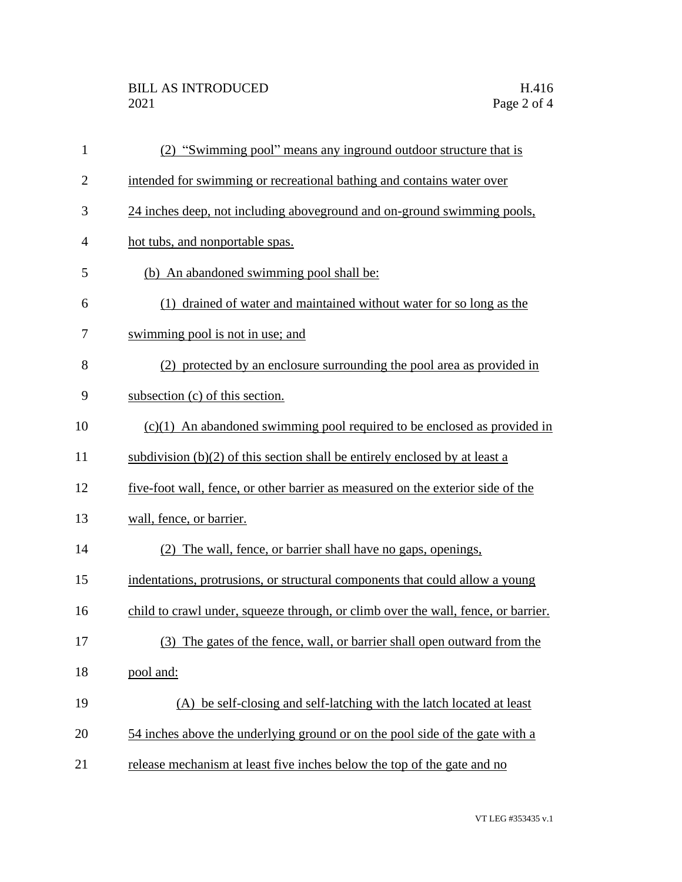## BILL AS INTRODUCED H.416<br>2021 Page 2 of 4

| $\mathbf{1}$   | (2) "Swimming pool" means any inground outdoor structure that is                  |
|----------------|-----------------------------------------------------------------------------------|
| $\overline{c}$ | intended for swimming or recreational bathing and contains water over             |
| 3              | 24 inches deep, not including aboveground and on-ground swimming pools,           |
| 4              | hot tubs, and nonportable spas.                                                   |
| 5              | (b) An abandoned swimming pool shall be:                                          |
| 6              | (1) drained of water and maintained without water for so long as the              |
| 7              | swimming pool is not in use; and                                                  |
| 8              | (2) protected by an enclosure surrounding the pool area as provided in            |
| 9              | subsection (c) of this section.                                                   |
| 10             | $(c)(1)$ An abandoned swimming pool required to be enclosed as provided in        |
| 11             | subdivision $(b)(2)$ of this section shall be entirely enclosed by at least a     |
| 12             | five-foot wall, fence, or other barrier as measured on the exterior side of the   |
| 13             | wall, fence, or barrier.                                                          |
| 14             | (2) The wall, fence, or barrier shall have no gaps, openings,                     |
| 15             | indentations, protrusions, or structural components that could allow a young      |
| 16             | child to crawl under, squeeze through, or climb over the wall, fence, or barrier. |
| 17             | (3) The gates of the fence, wall, or barrier shall open outward from the          |
| 18             | pool and:                                                                         |
| 19             | (A) be self-closing and self-latching with the latch located at least             |
| 20             | 54 inches above the underlying ground or on the pool side of the gate with a      |
| 21             | release mechanism at least five inches below the top of the gate and no           |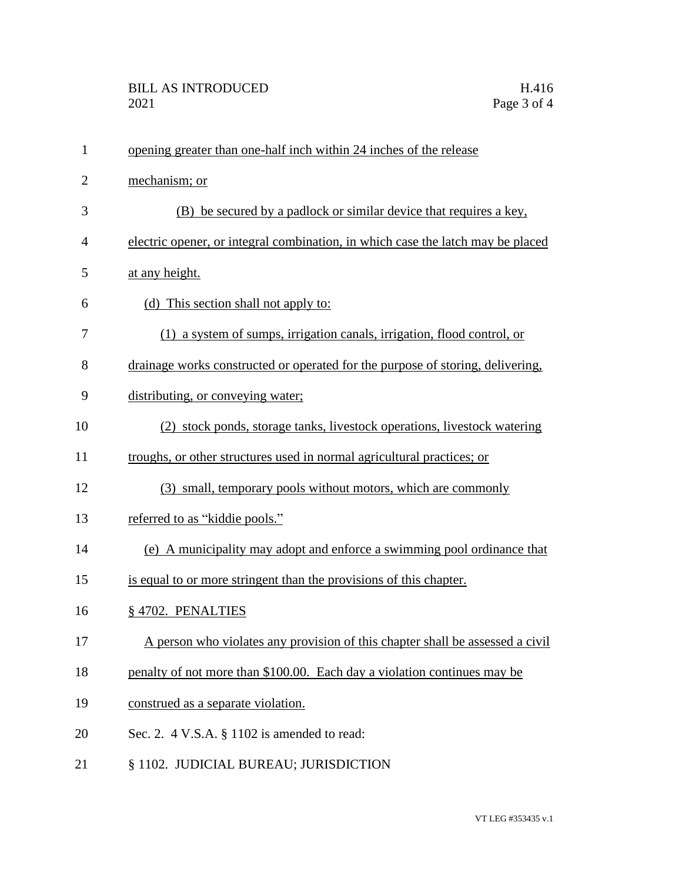| $\mathbf{1}$   | opening greater than one-half inch within 24 inches of the release              |
|----------------|---------------------------------------------------------------------------------|
| $\overline{2}$ | mechanism; or                                                                   |
| 3              | (B) be secured by a padlock or similar device that requires a key,              |
| 4              | electric opener, or integral combination, in which case the latch may be placed |
| 5              | at any height.                                                                  |
| 6              | (d) This section shall not apply to:                                            |
| 7              | (1) a system of sumps, irrigation canals, irrigation, flood control, or         |
| 8              | drainage works constructed or operated for the purpose of storing, delivering,  |
| 9              | distributing, or conveying water;                                               |
| 10             | (2) stock ponds, storage tanks, livestock operations, livestock watering        |
| 11             | troughs, or other structures used in normal agricultural practices; or          |
| 12             | (3) small, temporary pools without motors, which are commonly                   |
| 13             | referred to as "kiddie pools."                                                  |
| 14             | (e) A municipality may adopt and enforce a swimming pool ordinance that         |
| 15             | is equal to or more stringent than the provisions of this chapter.              |
| 16             | §4702. PENALTIES                                                                |
| 17             | A person who violates any provision of this chapter shall be assessed a civil   |
| 18             | penalty of not more than \$100.00. Each day a violation continues may be        |
| 19             | construed as a separate violation.                                              |
| 20             | Sec. 2. $4$ V.S.A. $\S$ 1102 is amended to read:                                |
| 21             | § 1102. JUDICIAL BUREAU; JURISDICTION                                           |